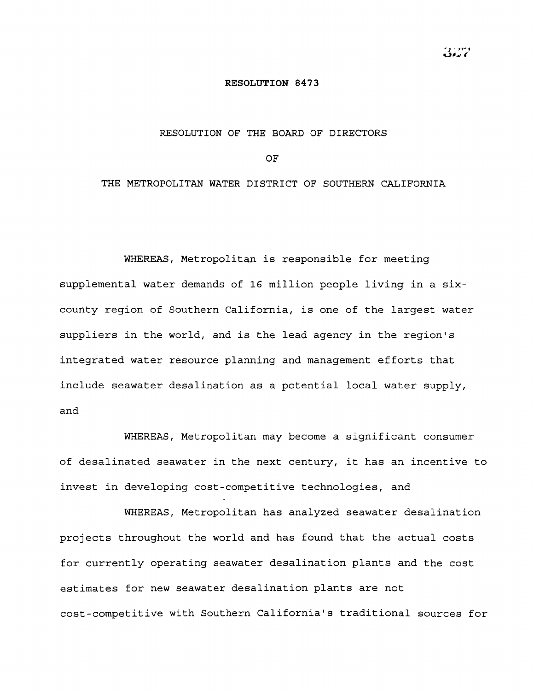## **RESOLUTION 8473**

## RESOLUTION OF THE BOARD OF DIRECTORS

OF

## THE METROPOLITAN WATER DISTRICT OF SOUTHERN CALIFORNIA

WHEREAS, Metropolitan is responsible for meeting supplemental water demands of 16 million people living in <sup>a</sup> sixcounty region of Southern California, is one of the largest water suppliers in the world, and is the lead agency in the region's integrated water resource planning and management efforts that include seawater desalination as a potential local water supply, and

WHEREAS, Metropolitan may become <sup>a</sup> significant consumer of desalinated seawater in the next century, it has an incentive to invest in developing cost-competitive technologies, and

WHEREAS, Metropolitan has analyzed seawater desalination projects throughout the world and has found that the actual costs for currently operating seawater desalination plants and the cost estimates for new seawater desalination plants are not cost-competitive with Southern California's traditional sources for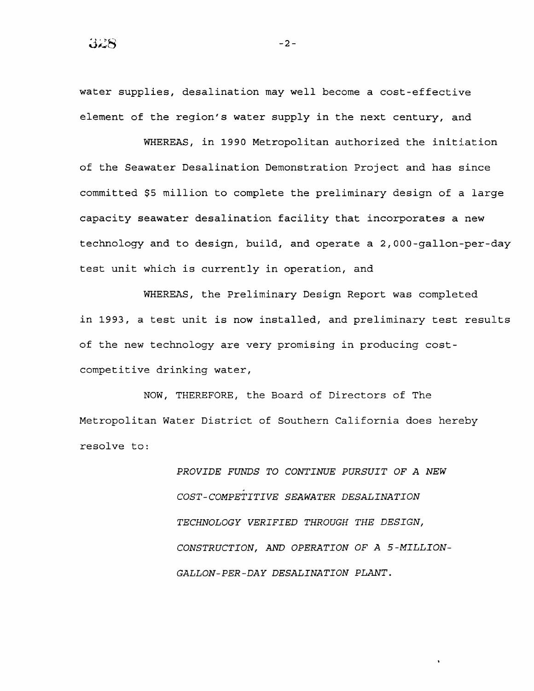water supplies, desalination may well become <sup>a</sup> cost-effective element of the region's water supply in the next century, and

WHEREAS, in 1990 Metropolitan authorized the initiation of the Seawater Desalination Demonstration Project and has since committed \$5 million to complete the preliminary design of a large capacity seawater desalination facility that incorporates <sup>a</sup> new technology and to design, build, and operate a 2,000-gallon-per-day test unit which is currently in operation, and

WHEREAS, the Preliminary Design Report was completed in 1993, <sup>a</sup> test unit is now installed, and preliminary test results of the new technology are very promising in producing costcompetitive drinking water,

NOW, THEREFORE, the Board of Directors of The Metropolitan Water District of Southern California does hereby resolve to:

> *PROVIDE FUNDS TO CONTINUE PURSUIT* OF *A NEW COST-COMPETITIVE SEAWATER DESALINATION TECHNOLOGY VERIFIED THROUGH THE DESIGN, CONSTRUCTION, AND OPERATION* OF *A* 5 *-MILLION-GALLON-PER-DAY DESALINATION PLANT.*

-2-